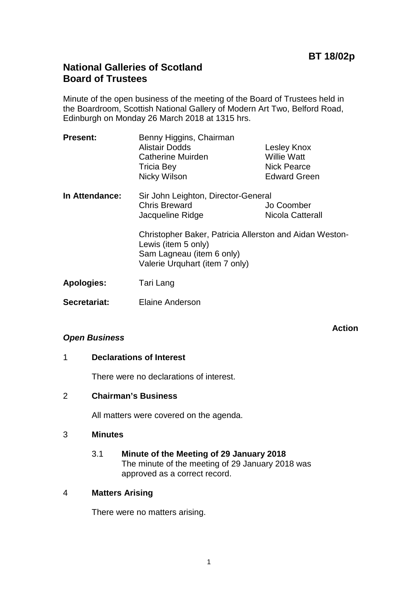**Action**

## **National Galleries of Scotland Board of Trustees**

Minute of the open business of the meeting of the Board of Trustees held in the Boardroom, Scottish National Gallery of Modern Art Two, Belford Road, Edinburgh on Monday 26 March 2018 at 1315 hrs.

| <b>Present:</b>   | Benny Higgins, Chairman<br>Alistair Dodds<br><b>Catherine Muirden</b><br><b>Tricia Bey</b><br>Nicky Wilson                                    | Lesley Knox<br><b>Willie Watt</b><br><b>Nick Pearce</b><br><b>Edward Green</b> |
|-------------------|-----------------------------------------------------------------------------------------------------------------------------------------------|--------------------------------------------------------------------------------|
| In Attendance:    | Sir John Leighton, Director-General<br><b>Chris Breward</b><br>Jacqueline Ridge                                                               | Jo Coomber<br>Nicola Catterall                                                 |
|                   | Christopher Baker, Patricia Allerston and Aidan Weston-<br>Lewis (item 5 only)<br>Sam Lagneau (item 6 only)<br>Valerie Urquhart (item 7 only) |                                                                                |
| <b>Apologies:</b> | Tari Lang                                                                                                                                     |                                                                                |
| Secretariat:      | Elaine Anderson                                                                                                                               |                                                                                |

#### *Open Business*

### 1 **Declarations of Interest**

There were no declarations of interest.

#### 2 **Chairman's Business**

All matters were covered on the agenda.

#### 3 **Minutes**

3.1 **Minute of the Meeting of 29 January 2018** The minute of the meeting of 29 January 2018 was approved as a correct record.

#### 4 **Matters Arising**

There were no matters arising.